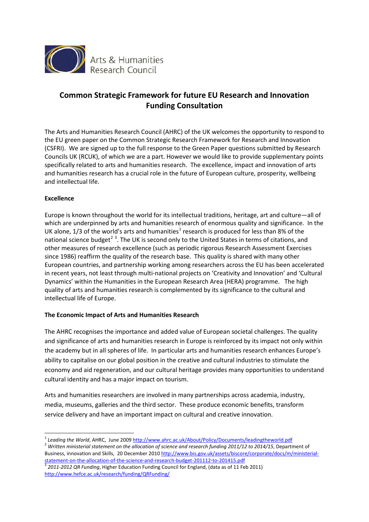

# **Common Strategic Framework for future EU Research and Innovation Funding Consultation**

The Arts and Humanities Research Council (AHRC) of the UK welcomes the opportunity to respond to the EU green paper on the Common Strategic Research Framework for Research and Innovation (CSFRI). We are signed up to the full response to the Green Paper questions submitted by Research Councils UK (RCUK), of which we are a part. However we would like to provide supplementary points specifically related to arts and humanities research. The excellence, impact and innovation of arts and humanities research has a crucial role in the future of European culture, prosperity, wellbeing and intellectual life.

# **Excellence**

<u>.</u>

Europe is known throughout the world for its intellectual traditions, heritage, art and culture—all of which are underpinned by arts and humanities research of enormous quality and significance. In the UK alone, [1](#page-0-0)/3 of the world's arts and humanities<sup>1</sup> research is produced for less than 8% of the national science budget<sup>[2](#page-0-1)[3](#page-0-2)</sup>. The UK is second only to the United States in terms of citations, and other measures of research excellence (such as periodic rigorous Research Assessment Exercises since 1986) reaffirm the quality of the research base. This quality is shared with many other European countries, and partnership working among researchers across the EU has been accelerated in recent years, not least through multi-national projects on 'Creativity and Innovation' and 'Cultural Dynamics' within the Humanities in the European Research Area (HERA) programme. The high quality of arts and humanities research is complemented by its significance to the cultural and intellectual life of Europe.

# **The Economic Impact of Arts and Humanities Research**

The AHRC recognises the importance and added value of European societal challenges. The quality and significance of arts and humanities research in Europe is reinforced by its impact not only within the academy but in all spheres of life. In particular arts and humanities research enhances Europe's ability to capitalise on our global position in the creative and cultural industries to stimulate the economy and aid regeneration, and our cultural heritage provides many opportunities to understand cultural identity and has a major impact on tourism.

Arts and humanities researchers are involved in many partnerships across academia, industry, media, museums, galleries and the third sector. These produce economic benefits, transform service delivery and have an important impact on cultural and creative innovation.

<span id="page-0-1"></span>Business, innovation and Skills, 20 December 201[0 http://www.bis.gov.uk/assets/biscore/corporate/docs/m/ministerial-](http://www.bis.gov.uk/assets/biscore/corporate/docs/m/ministerial-statement-on-the-allocation-of-the-science-and-research-budget-201112-to-201415.pdf)

<span id="page-0-0"></span><sup>&</sup>lt;sup>1</sup> Leading the World, AHRC, June 2009 http://www.ahrc.ac.uk/About/Policy/Documents/leadingtheworld.pdf<br><sup>2</sup> Written ministerial statement on the allocation of science and research funding 2011/12 to 2014/15, Department of

<span id="page-0-2"></span>[statement-on-the-allocation-of-the-science-and-research-budget-201112-to-201415.pdf 3](http://www.bis.gov.uk/assets/biscore/corporate/docs/m/ministerial-statement-on-the-allocation-of-the-science-and-research-budget-201112-to-201415.pdf) *2011-2012 QR Funding*, Higher Education Funding Council for England, (data as of 11 Feb 2011) <http://www.hefce.ac.uk/research/funding/QRFunding/>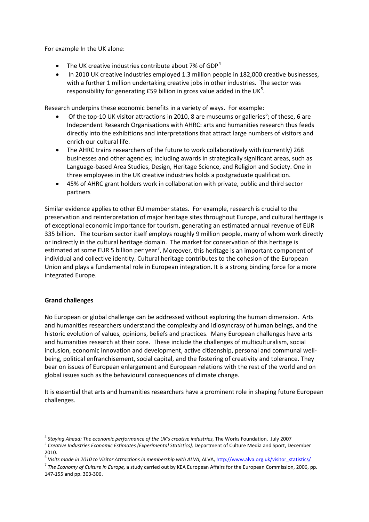For example In the UK alone:

- The UK creative industries contribute about 7% of GDP<sup>[4](#page-1-0)</sup>
- In 2010 UK creative industries employed 1.3 million people in 182,000 creative businesses, with a further 1 million undertaking creative jobs in other industries. The sector was responsibility for generating £[5](#page-1-1)9 billion in gross value added in the UK<sup>5</sup>.

Research underpins these economic benefits in a variety of ways. For example:

- Of the top-10 UK visitor attractions in 2010, 8 are museums or galleries<sup>[6](#page-1-2)</sup>; of these, 6 are Independent Research Organisations with AHRC: arts and humanities research thus feeds directly into the exhibitions and interpretations that attract large numbers of visitors and enrich our cultural life.
- The AHRC trains researchers of the future to work collaboratively with (currently) 268 businesses and other agencies; including awards in strategically significant areas, such as Language-based Area Studies, Design, Heritage Science, and Religion and Society. One in three employees in the UK creative industries holds a postgraduate qualification.
- 45% of AHRC grant holders work in collaboration with private, public and third sector partners

Similar evidence applies to other EU member states. For example, research is crucial to the preservation and reinterpretation of major heritage sites throughout Europe, and cultural heritage is of exceptional economic importance for tourism, generating an estimated annual revenue of EUR 335 billion. The tourism sector itself employs roughly 9 million people, many of whom work directly or indirectly in the cultural heritage domain. The market for conservation of this heritage is estimated at some EUR 5 billion per year<sup>[7](#page-1-3)</sup>. Moreover, this heritage is an important component of individual and collective identity. Cultural heritage contributes to the cohesion of the European Union and plays a fundamental role in European integration. It is a strong binding force for a more integrated Europe.

### **Grand challenges**

<u>.</u>

No European or global challenge can be addressed without exploring the human dimension. Arts and humanities researchers understand the complexity and idiosyncrasy of human beings, and the historic evolution of values, opinions, beliefs and practices. Many European challenges have arts and humanities research at their core. These include the challenges of multiculturalism, social inclusion, economic innovation and development, active citizenship, personal and communal wellbeing, political enfranchisement, social capital, and the fostering of creativity and tolerance. They bear on issues of European enlargement and European relations with the rest of the world and on global issues such as the behavioural consequences of climate change.

It is essential that arts and humanities researchers have a prominent role in shaping future European challenges.

<span id="page-1-0"></span><sup>&</sup>lt;sup>4</sup> Staying Ahead: The economic performance of the UK's creative industries, The Works Foundation, July 2007<br><sup>5</sup> Creative Industries Economic Estimates (Experimental Statistics), Department of Culture Media and Sport, Dec

<span id="page-1-1"></span><sup>2010.</sup> 

<span id="page-1-2"></span><sup>&</sup>lt;sup>6</sup> Visits made in 2010 to Visitor Attractions in membership with ALVA, ALVA, http://www.alva.org.uk/visitor statistics/<br><sup>7</sup> The Economy of Culture in Europe, a study carried out by KEA European Affairs for the European C

<span id="page-1-3"></span><sup>147-155</sup> and pp. 303-306.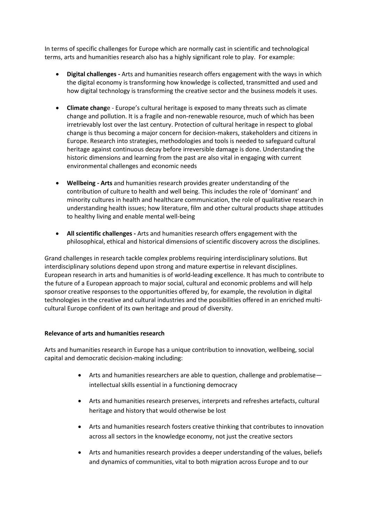In terms of specific challenges for Europe which are normally cast in scientific and technological terms, arts and humanities research also has a highly significant role to play. For example:

- **Digital challenges** Arts and humanities research offers engagement with the ways in which the digital economy is transforming how knowledge is collected, transmitted and used and how digital technology is transforming the creative sector and the business models it uses.
- **Climate chang**e Europe's cultural heritage is exposed to many threats such as climate change and pollution. It is a fragile and non-renewable resource, much of which has been irretrievably lost over the last century. Protection of cultural heritage in respect to global change is thus becoming a major concern for decision-makers, stakeholders and citizens in Europe. Research into strategies, methodologies and tools is needed to safeguard cultural heritage against continuous decay before irreversible damage is done. Understanding the historic dimensions and learning from the past are also vital in engaging with current environmental challenges and economic needs
- **Wellbeing Arts** and humanities research provides greater understanding of the contribution of culture to health and well being. This includes the role of 'dominant' and minority cultures in health and healthcare communication, the role of qualitative research in understanding health issues; how literature, film and other cultural products shape attitudes to healthy living and enable mental well-being
- **All scientific challenges** Arts and humanities research offers engagement with the philosophical, ethical and historical dimensions of scientific discovery across the disciplines.

Grand challenges in research tackle complex problems requiring interdisciplinary solutions. But interdisciplinary solutions depend upon strong and mature expertise in relevant disciplines. European research in arts and humanities is of world-leading excellence. It has much to contribute to the future of a European approach to major social, cultural and economic problems and will help sponsor creative responses to the opportunities offered by, for example, the revolution in digital technologies in the creative and cultural industries and the possibilities offered in an enriched multicultural Europe confident of its own heritage and proud of diversity.

### **Relevance of arts and humanities research**

Arts and humanities research in Europe has a unique contribution to innovation, wellbeing, social capital and democratic decision-making including:

- Arts and humanities researchers are able to question, challenge and problematise intellectual skills essential in a functioning democracy
- Arts and humanities research preserves, interprets and refreshes artefacts, cultural heritage and history that would otherwise be lost
- Arts and humanities research fosters creative thinking that contributes to innovation across all sectors in the knowledge economy, not just the creative sectors
- Arts and humanities research provides a deeper understanding of the values, beliefs and dynamics of communities, vital to both migration across Europe and to our